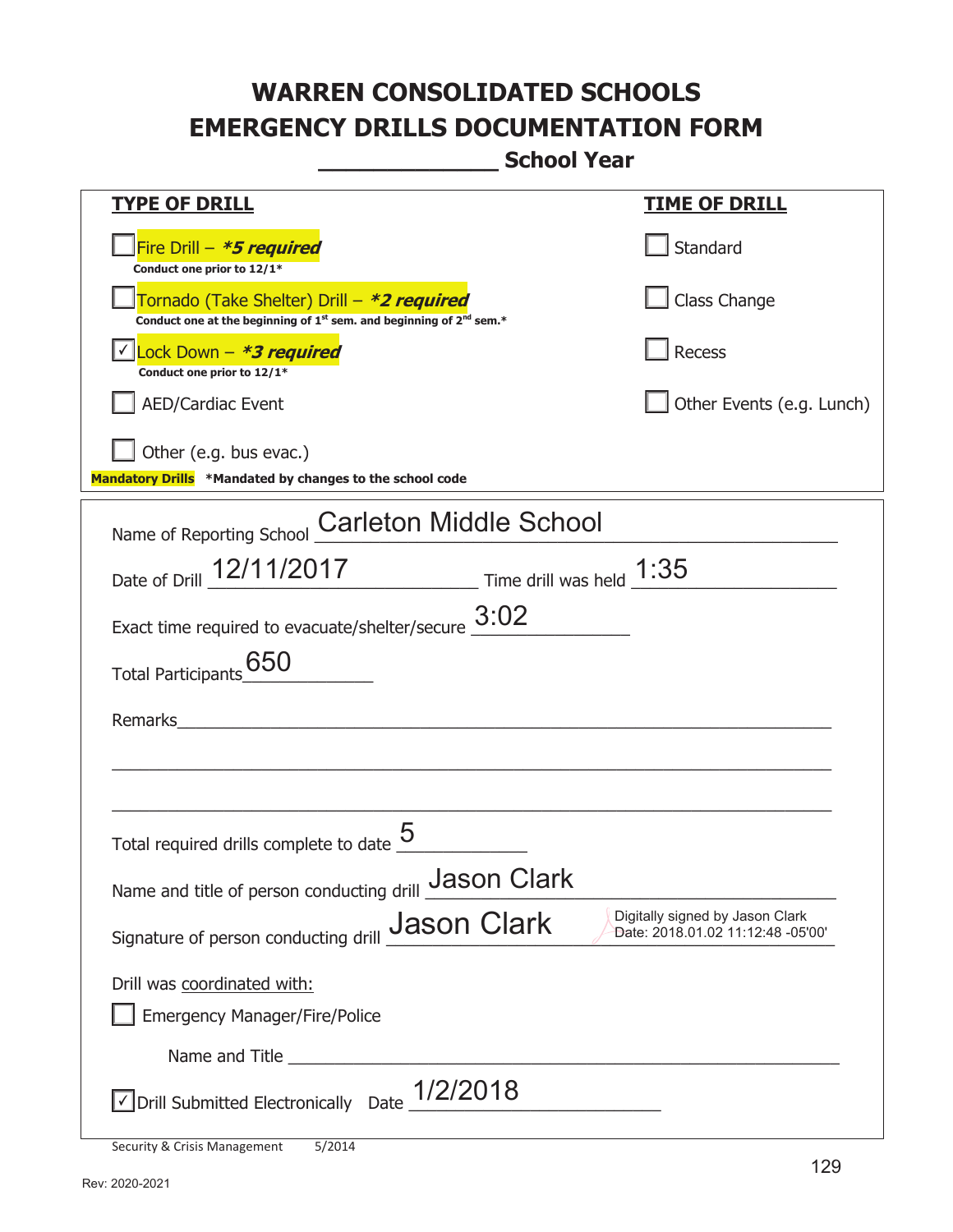| <u>TYPE OF DRILL</u>                                                                                                                      | <u>TIME OF DRILL</u>                                                 |
|-------------------------------------------------------------------------------------------------------------------------------------------|----------------------------------------------------------------------|
| Fire Drill - *5 required<br>Conduct one prior to 12/1*                                                                                    | Standard                                                             |
| Tornado (Take Shelter) Drill – *2 required<br>Conduct one at the beginning of 1 <sup>st</sup> sem. and beginning of 2 <sup>nd</sup> sem.* | Class Change                                                         |
| <u> √ Lock Down – <b>*3 required</b></u><br>Conduct one prior to 12/1*                                                                    | Recess                                                               |
| <b>AED/Cardiac Event</b>                                                                                                                  | Other Events (e.g. Lunch)                                            |
| Other (e.g. bus evac.)<br>Mandatory Drills *Mandated by changes to the school code                                                        |                                                                      |
| <b>Carleton Middle School</b><br>Name of Reporting School                                                                                 |                                                                      |
| Date of Drill 12/11/2017 Time drill was held 1:35                                                                                         |                                                                      |
| Exact time required to evacuate/shelter/secure $\underline{\hspace{1em}3:}02$                                                             |                                                                      |
| Total Participants 650                                                                                                                    |                                                                      |
| Remarks                                                                                                                                   |                                                                      |
|                                                                                                                                           |                                                                      |
| Total required drills complete to date                                                                                                    |                                                                      |
| Name and title of person conducting drill Jason Clark                                                                                     |                                                                      |
| <b>Jason Clark</b><br>Signature of person conducting drill                                                                                | Digitally signed by Jason Clark<br>Date: 2018.01.02 11:12:48 -05'00' |
| Drill was coordinated with:                                                                                                               |                                                                      |
| <b>Emergency Manager/Fire/Police</b>                                                                                                      |                                                                      |
|                                                                                                                                           |                                                                      |
| $\sqrt{\frac{1}{201}}$ Submitted Electronically Date $\frac{1}{2}/2018$                                                                   |                                                                      |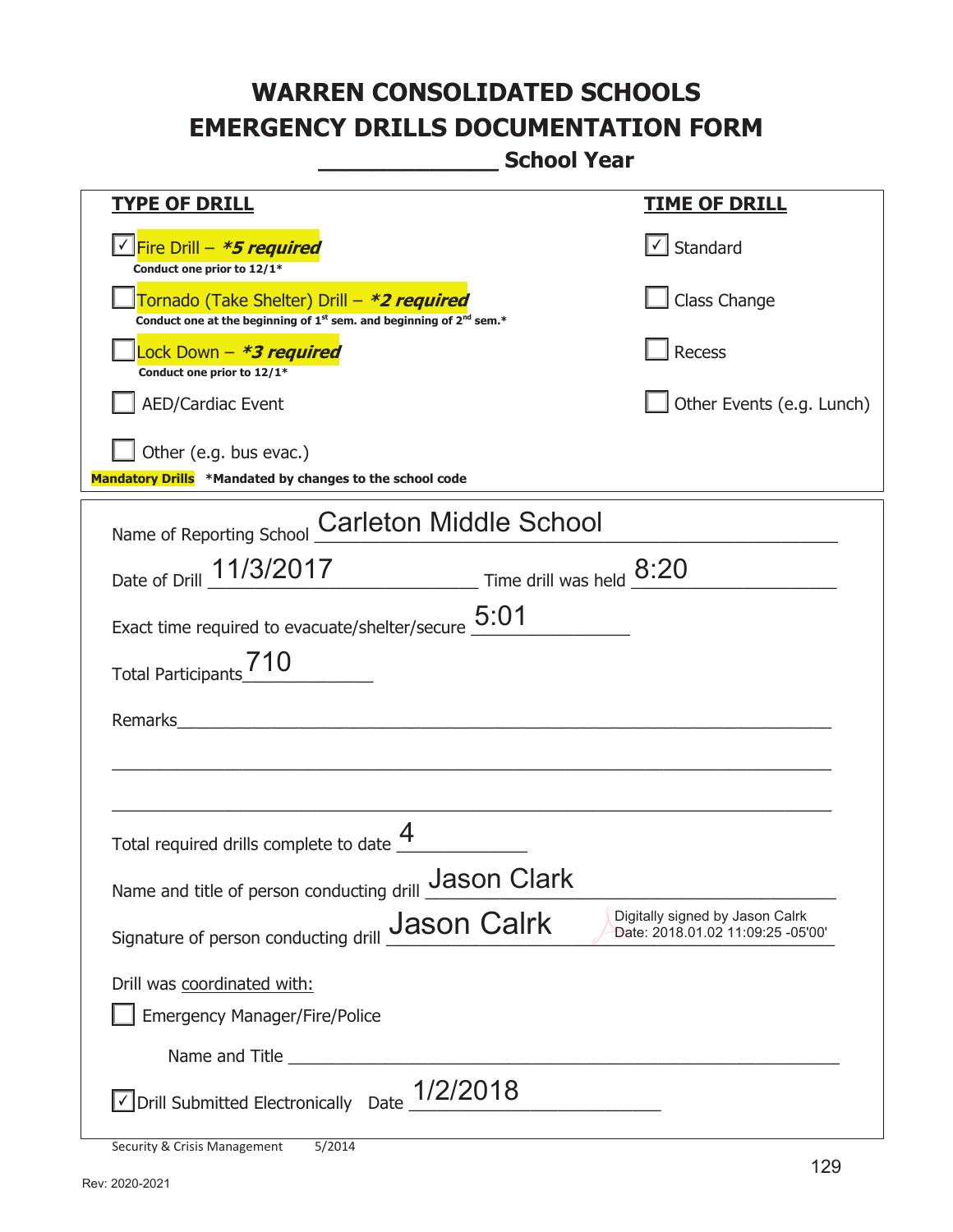| <u>TYPE OF DRILL</u>                                                                                                                                                    | <u>TIME OF DRILL</u>                                                 |
|-------------------------------------------------------------------------------------------------------------------------------------------------------------------------|----------------------------------------------------------------------|
|                                                                                                                                                                         |                                                                      |
| <u>√ Fire Drill – <i>*5 required</i></u>                                                                                                                                | $\cup$ Standard                                                      |
| Conduct one prior to 12/1*<br>Tornado (Take Shelter) Drill – *2 required<br>Conduct one at the beginning of 1 <sup>st</sup> sem. and beginning of 2 <sup>nd</sup> sem.* | Class Change                                                         |
| Lock Down - *3 required<br>Conduct one prior to 12/1*                                                                                                                   | Recess                                                               |
| <b>AED/Cardiac Event</b>                                                                                                                                                | Other Events (e.g. Lunch)                                            |
| Other (e.g. bus evac.)<br>Mandatory Drills *Mandated by changes to the school code                                                                                      |                                                                      |
| <b>Carleton Middle School</b><br>Name of Reporting School                                                                                                               |                                                                      |
| Date of Drill 11/3/2017 Time drill was held 8:20                                                                                                                        |                                                                      |
| Exact time required to evacuate/shelter/secure $5:01$                                                                                                                   |                                                                      |
| Total Participants                                                                                                                                                      |                                                                      |
| Remarks                                                                                                                                                                 |                                                                      |
|                                                                                                                                                                         |                                                                      |
| Total required drills complete to date $\frac{4}{1}$                                                                                                                    |                                                                      |
| Name and title of person conducting drill Jason Clark                                                                                                                   |                                                                      |
| <b>Jason Calrk</b><br>Signature of person conducting drill                                                                                                              | Digitally signed by Jason Calrk<br>Date: 2018.01.02 11:09:25 -05'00' |
| Drill was coordinated with:                                                                                                                                             |                                                                      |
| <b>Emergency Manager/Fire/Police</b>                                                                                                                                    |                                                                      |
|                                                                                                                                                                         |                                                                      |
| $\Box$ Drill Submitted Electronically Date $\frac{1/2}{2018}$                                                                                                           |                                                                      |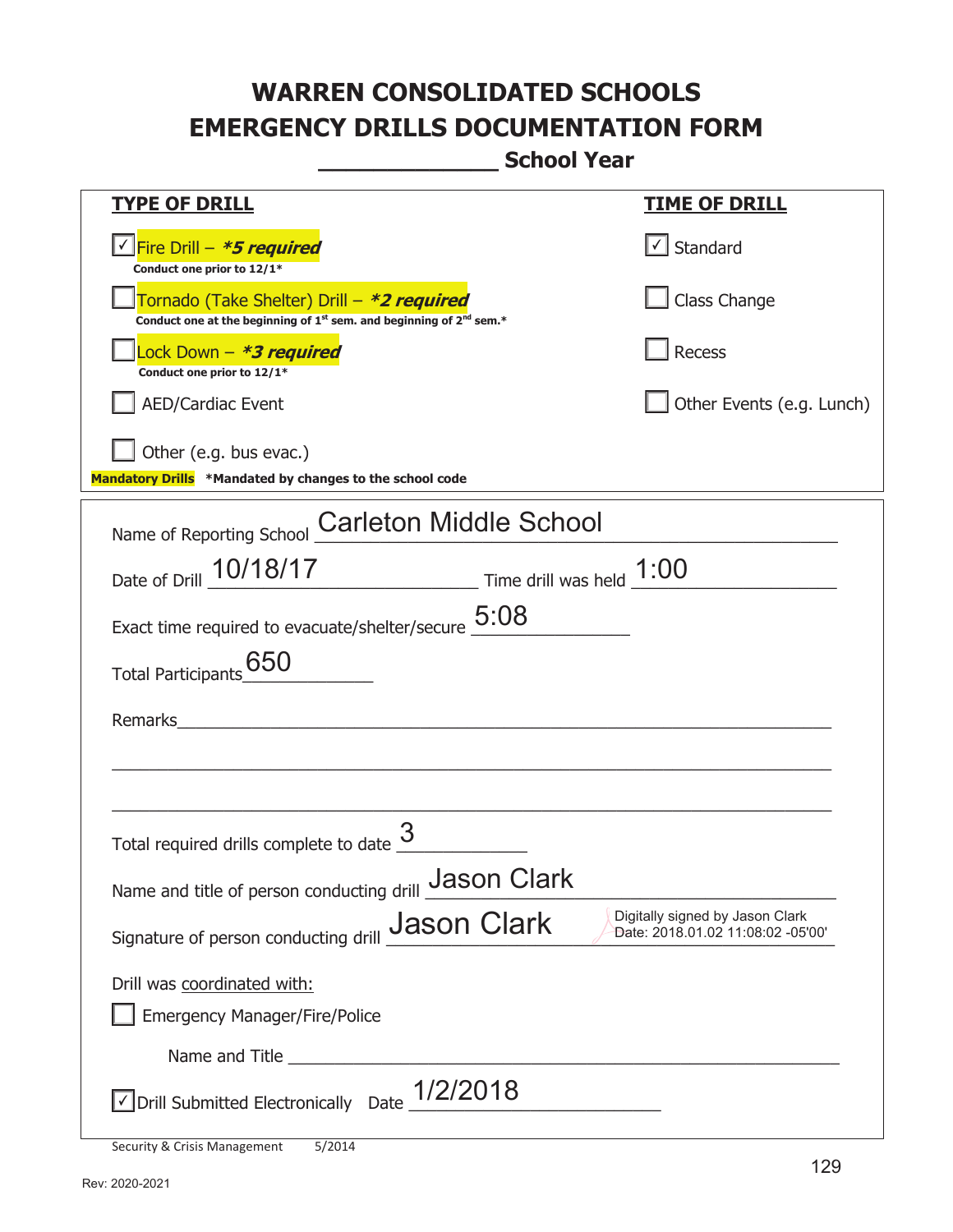|                                                                                                                                                                         | <u>TIME OF DRILL</u>              |
|-------------------------------------------------------------------------------------------------------------------------------------------------------------------------|-----------------------------------|
| <u>TYPE OF DRILL</u>                                                                                                                                                    |                                   |
| √Fire Drill – <i>*<b>5 required</b></i>                                                                                                                                 | $\cup$ Standard                   |
| Conduct one prior to 12/1*<br>Tornado (Take Shelter) Drill – *2 required<br>Conduct one at the beginning of 1 <sup>st</sup> sem. and beginning of 2 <sup>nd</sup> sem.* | Class Change                      |
| Lock Down - *3 required<br>Conduct one prior to 12/1*                                                                                                                   | Recess                            |
| <b>AED/Cardiac Event</b>                                                                                                                                                | Other Events (e.g. Lunch)         |
| Other (e.g. bus evac.)<br>Mandatory Drills *Mandated by changes to the school code                                                                                      |                                   |
| <b>Carleton Middle School</b><br>Name of Reporting School                                                                                                               |                                   |
| Date of Drill 10/18/17 Time drill was held 1:00                                                                                                                         |                                   |
| Exact time required to evacuate/shelter/secure $5:08$                                                                                                                   |                                   |
| 650                                                                                                                                                                     |                                   |
| <b>Total Participants</b>                                                                                                                                               |                                   |
| Remarks                                                                                                                                                                 |                                   |
|                                                                                                                                                                         |                                   |
|                                                                                                                                                                         |                                   |
| Total required drills complete to date                                                                                                                                  |                                   |
| Name and title of person conducting drill Jason Clark                                                                                                                   |                                   |
| <b>Jason Clark</b>                                                                                                                                                      | Digitally signed by Jason Clark   |
| Signature of person conducting drill                                                                                                                                    | Date: 2018.01.02 11:08:02 -05'00' |
| Drill was coordinated with:                                                                                                                                             |                                   |
| <b>Emergency Manager/Fire/Police</b>                                                                                                                                    |                                   |
|                                                                                                                                                                         |                                   |
| $\sqrt{\frac{1}{201}}$ Submitted Electronically Date $\frac{1}{2}/2018$                                                                                                 |                                   |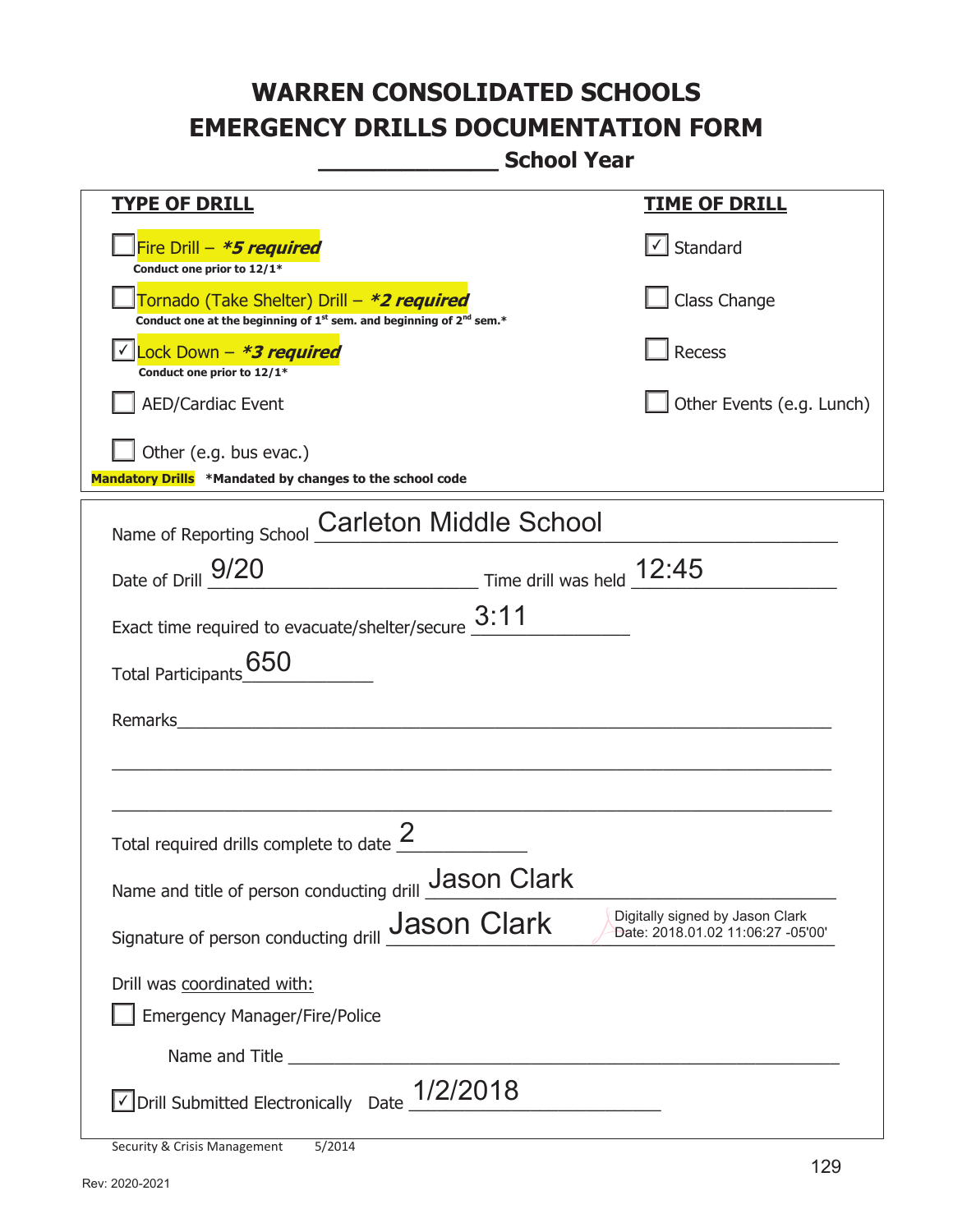**\_\_\_\_\_\_\_\_\_\_\_\_\_ School Year** 

| <b>TYPE OF DRILL</b>                                                                                                                                                                                                                | <u>TIME OF DRILL</u>                                                 |
|-------------------------------------------------------------------------------------------------------------------------------------------------------------------------------------------------------------------------------------|----------------------------------------------------------------------|
| Fire Drill - *5 required<br>Conduct one prior to 12/1*                                                                                                                                                                              | √ Standard                                                           |
| Tornado (Take Shelter) Drill – *2 required<br>Conduct one at the beginning of 1 <sup>st</sup> sem. and beginning of 2 <sup>nd</sup> sem.*                                                                                           | Class Change                                                         |
| <u>√ Lock Down – <b>*3 required</b></u><br>Conduct one prior to 12/1*                                                                                                                                                               | Recess                                                               |
| <b>AED/Cardiac Event</b>                                                                                                                                                                                                            | Other Events (e.g. Lunch)                                            |
| Other (e.g. bus evac.)<br>Mandatory Drills *Mandated by changes to the school code                                                                                                                                                  |                                                                      |
| Name of Reporting School Carleton Middle School                                                                                                                                                                                     |                                                                      |
| $\frac{12:45}{2}$ Time drill was held $\frac{12:45}{2}$<br>Date of Drill 9/20                                                                                                                                                       |                                                                      |
| Exact time required to evacuate/shelter/secure $\underline{\hspace{1em}3:}11$                                                                                                                                                       |                                                                      |
| 650<br><b>Total Participants</b>                                                                                                                                                                                                    |                                                                      |
| Remarks<br><u> 1980 - Jan Sterling von Berling von Berling von Berling von Berling von Berling von Berling von Berling von B</u>                                                                                                    |                                                                      |
|                                                                                                                                                                                                                                     |                                                                      |
| Total required drills complete to date                                                                                                                                                                                              |                                                                      |
| Name and title of person conducting drill Jason Clark                                                                                                                                                                               |                                                                      |
| <b>Jason Clark</b><br>Signature of person conducting drill                                                                                                                                                                          | Digitally signed by Jason Clark<br>Date: 2018.01.02 11:06:27 -05'00' |
| Drill was coordinated with:                                                                                                                                                                                                         |                                                                      |
| Emergency Manager/Fire/Police                                                                                                                                                                                                       |                                                                      |
| Name and Title <u>successors</u> and the series of the series of the series of the series of the series of the series of the series of the series of the series of the series of the series of the series of the series of the seri |                                                                      |
| ■ Drill Submitted Electronically Date 1/2/2018                                                                                                                                                                                      |                                                                      |

Security & Crisis Management 5/2014